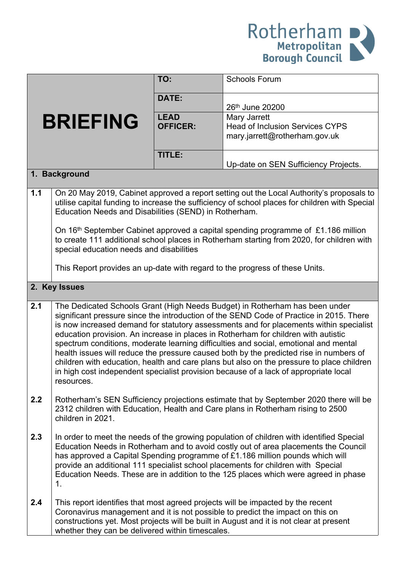

|                 |                                                                                                                                                                                                                                                                                                                                                                                                                                                                                                                                                                                                                                                                                                                                             | TO:                            | <b>Schools Forum</b>                                                                                                                                                                                                                                         |  |
|-----------------|---------------------------------------------------------------------------------------------------------------------------------------------------------------------------------------------------------------------------------------------------------------------------------------------------------------------------------------------------------------------------------------------------------------------------------------------------------------------------------------------------------------------------------------------------------------------------------------------------------------------------------------------------------------------------------------------------------------------------------------------|--------------------------------|--------------------------------------------------------------------------------------------------------------------------------------------------------------------------------------------------------------------------------------------------------------|--|
| <b>BRIEFING</b> |                                                                                                                                                                                                                                                                                                                                                                                                                                                                                                                                                                                                                                                                                                                                             | DATE:                          | 26th June 20200                                                                                                                                                                                                                                              |  |
|                 |                                                                                                                                                                                                                                                                                                                                                                                                                                                                                                                                                                                                                                                                                                                                             | <b>LEAD</b><br><b>OFFICER:</b> | Mary Jarrett<br><b>Head of Inclusion Services CYPS</b><br>mary.jarrett@rotherham.gov.uk                                                                                                                                                                      |  |
|                 |                                                                                                                                                                                                                                                                                                                                                                                                                                                                                                                                                                                                                                                                                                                                             | TITLE:                         | Up-date on SEN Sufficiency Projects.                                                                                                                                                                                                                         |  |
|                 | 1. Background                                                                                                                                                                                                                                                                                                                                                                                                                                                                                                                                                                                                                                                                                                                               |                                |                                                                                                                                                                                                                                                              |  |
| 1.1             | On 20 May 2019, Cabinet approved a report setting out the Local Authority's proposals to<br>utilise capital funding to increase the sufficiency of school places for children with Special<br>Education Needs and Disabilities (SEND) in Rotherham.<br>On 16 <sup>th</sup> September Cabinet approved a capital spending programme of £1.186 million<br>to create 111 additional school places in Rotherham starting from 2020, for children with<br>special education needs and disabilities<br>This Report provides an up-date with regard to the progress of these Units.                                                                                                                                                                |                                |                                                                                                                                                                                                                                                              |  |
| 2. Key Issues   |                                                                                                                                                                                                                                                                                                                                                                                                                                                                                                                                                                                                                                                                                                                                             |                                |                                                                                                                                                                                                                                                              |  |
| 2.1             | The Dedicated Schools Grant (High Needs Budget) in Rotherham has been under<br>significant pressure since the introduction of the SEND Code of Practice in 2015. There<br>is now increased demand for statutory assessments and for placements within specialist<br>education provision. An increase in places in Rotherham for children with autistic<br>spectrum conditions, moderate learning difficulties and social, emotional and mental<br>health issues will reduce the pressure caused both by the predicted rise in numbers of<br>children with education, health and care plans but also on the pressure to place children<br>in high cost independent specialist provision because of a lack of appropriate local<br>resources. |                                |                                                                                                                                                                                                                                                              |  |
| 2.2             | Rotherham's SEN Sufficiency projections estimate that by September 2020 there will be<br>2312 children with Education, Health and Care plans in Rotherham rising to 2500<br>children in 2021.                                                                                                                                                                                                                                                                                                                                                                                                                                                                                                                                               |                                |                                                                                                                                                                                                                                                              |  |
| 2.3             | In order to meet the needs of the growing population of children with identified Special<br>Education Needs in Rotherham and to avoid costly out of area placements the Council<br>has approved a Capital Spending programme of £1.186 million pounds which will<br>provide an additional 111 specialist school placements for children with Special<br>Education Needs. These are in addition to the 125 places which were agreed in phase<br>1.                                                                                                                                                                                                                                                                                           |                                |                                                                                                                                                                                                                                                              |  |
| 2.4             | whether they can be delivered within timescales.                                                                                                                                                                                                                                                                                                                                                                                                                                                                                                                                                                                                                                                                                            |                                | This report identifies that most agreed projects will be impacted by the recent<br>Coronavirus management and it is not possible to predict the impact on this on<br>constructions yet. Most projects will be built in August and it is not clear at present |  |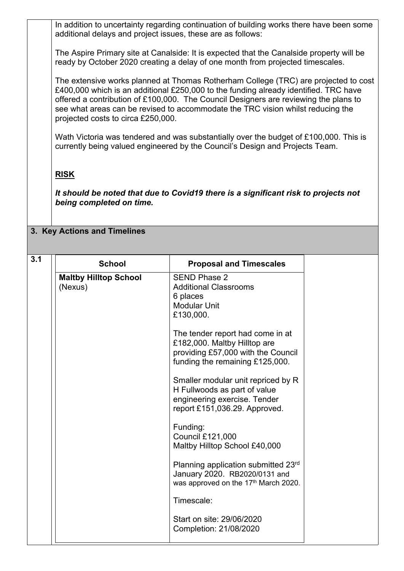In addition to uncertainty regarding continuation of building works there have been some additional delays and project issues, these are as follows:

The Aspire Primary site at Canalside: It is expected that the Canalside property will be ready by October 2020 creating a delay of one month from projected timescales.

The extensive works planned at Thomas Rotherham College (TRC) are projected to cost £400,000 which is an additional £250,000 to the funding already identified. TRC have offered a contribution of £100,000. The Council Designers are reviewing the plans to see what areas can be revised to accommodate the TRC vision whilst reducing the projected costs to circa £250,000.

Wath Victoria was tendered and was substantially over the budget of £100,000. This is currently being valued engineered by the Council's Design and Projects Team.

## **RISK**

*It should be noted that due to Covid19 there is a significant risk to projects not being completed on time.*

## **3. Key Actions and Timelines**

| 3.1 | <b>School</b>                           | <b>Proposal and Timescales</b>                                                                                                            |
|-----|-----------------------------------------|-------------------------------------------------------------------------------------------------------------------------------------------|
|     | <b>Maltby Hilltop School</b><br>(Nexus) | <b>SEND Phase 2</b><br><b>Additional Classrooms</b><br>6 places<br><b>Modular Unit</b><br>£130,000.                                       |
|     |                                         | The tender report had come in at<br>£182,000. Maltby Hilltop are<br>providing £57,000 with the Council<br>funding the remaining £125,000. |
|     |                                         | Smaller modular unit repriced by R<br>H Fullwoods as part of value<br>engineering exercise. Tender<br>report £151,036.29. Approved.       |
|     |                                         | Funding:<br><b>Council £121,000</b><br>Maltby Hilltop School £40,000                                                                      |
|     |                                         | Planning application submitted 23rd<br>January 2020. RB2020/0131 and<br>was approved on the 17th March 2020.                              |
|     |                                         | Timescale:                                                                                                                                |
|     |                                         | Start on site: 29/06/2020<br>Completion: 21/08/2020                                                                                       |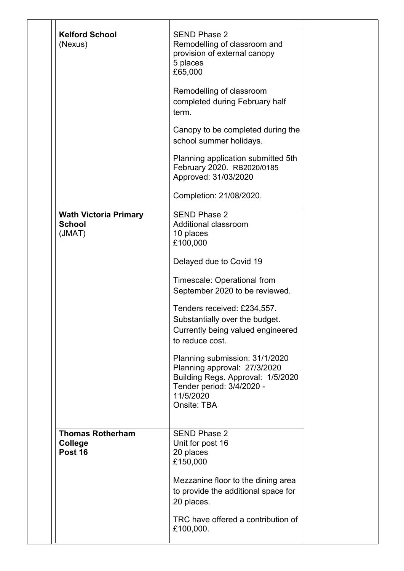| <b>Kelford School</b><br>(Nexus)                        | <b>SEND Phase 2</b><br>Remodelling of classroom and<br>provision of external canopy<br>5 places<br>£65,000                                                   |
|---------------------------------------------------------|--------------------------------------------------------------------------------------------------------------------------------------------------------------|
|                                                         | Remodelling of classroom<br>completed during February half<br>term.                                                                                          |
|                                                         | Canopy to be completed during the<br>school summer holidays.                                                                                                 |
|                                                         | Planning application submitted 5th<br>February 2020. RB2020/0185<br>Approved: 31/03/2020                                                                     |
|                                                         | Completion: 21/08/2020.                                                                                                                                      |
| <b>Wath Victoria Primary</b><br><b>School</b><br>(JMAT) | <b>SEND Phase 2</b><br>Additional classroom<br>10 places<br>£100,000                                                                                         |
|                                                         | Delayed due to Covid 19                                                                                                                                      |
|                                                         | Timescale: Operational from<br>September 2020 to be reviewed.                                                                                                |
|                                                         | Tenders received: £234,557.<br>Substantially over the budget.<br>Currently being valued engineered<br>to reduce cost.                                        |
|                                                         | Planning submission: 31/1/2020<br>Planning approval: 27/3/2020<br>Building Regs. Approval: 1/5/2020<br>Tender period: 3/4/2020 -<br>11/5/2020<br>Onsite: TBA |
| <b>Thomas Rotherham</b><br>College<br>Post 16           | <b>SEND Phase 2</b><br>Unit for post 16<br>20 places<br>£150,000                                                                                             |
|                                                         | Mezzanine floor to the dining area<br>to provide the additional space for<br>20 places.                                                                      |
|                                                         | TRC have offered a contribution of                                                                                                                           |
|                                                         | £100,000.                                                                                                                                                    |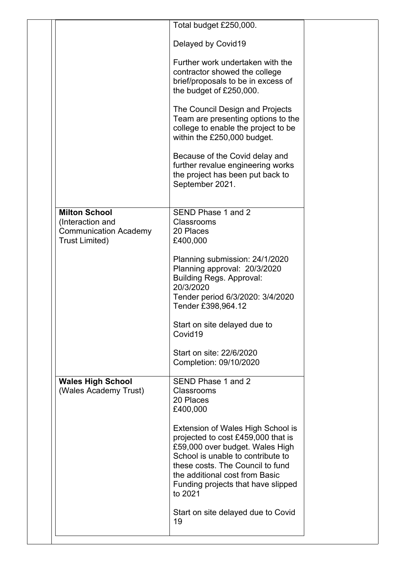|                                                                                                   | Total budget £250,000.                                                                                                                                                                                                                                                 |
|---------------------------------------------------------------------------------------------------|------------------------------------------------------------------------------------------------------------------------------------------------------------------------------------------------------------------------------------------------------------------------|
|                                                                                                   | Delayed by Covid19                                                                                                                                                                                                                                                     |
|                                                                                                   | Further work undertaken with the<br>contractor showed the college                                                                                                                                                                                                      |
|                                                                                                   | brief/proposals to be in excess of                                                                                                                                                                                                                                     |
|                                                                                                   | the budget of £250,000.                                                                                                                                                                                                                                                |
|                                                                                                   | The Council Design and Projects<br>Team are presenting options to the<br>college to enable the project to be<br>within the £250,000 budget.                                                                                                                            |
|                                                                                                   | Because of the Covid delay and<br>further revalue engineering works<br>the project has been put back to<br>September 2021.                                                                                                                                             |
|                                                                                                   |                                                                                                                                                                                                                                                                        |
| <b>Milton School</b><br>(Interaction and<br><b>Communication Academy</b><br><b>Trust Limited)</b> | SEND Phase 1 and 2<br>Classrooms<br>20 Places<br>£400,000                                                                                                                                                                                                              |
|                                                                                                   | Planning submission: 24/1/2020<br>Planning approval: 20/3/2020<br><b>Building Regs. Approval:</b><br>20/3/2020<br>Tender period 6/3/2020: 3/4/2020<br>Tender £398,964.12                                                                                               |
|                                                                                                   | Start on site delayed due to<br>Covid19                                                                                                                                                                                                                                |
|                                                                                                   | Start on site: 22/6/2020<br>Completion: 09/10/2020                                                                                                                                                                                                                     |
| <b>Wales High School</b><br>(Wales Academy Trust)                                                 | SEND Phase 1 and 2<br>Classrooms<br>20 Places<br>£400,000                                                                                                                                                                                                              |
|                                                                                                   | Extension of Wales High School is<br>projected to cost £459,000 that is<br>£59,000 over budget. Wales High<br>School is unable to contribute to<br>these costs. The Council to fund<br>the additional cost from Basic<br>Funding projects that have slipped<br>to 2021 |
|                                                                                                   | Start on site delayed due to Covid                                                                                                                                                                                                                                     |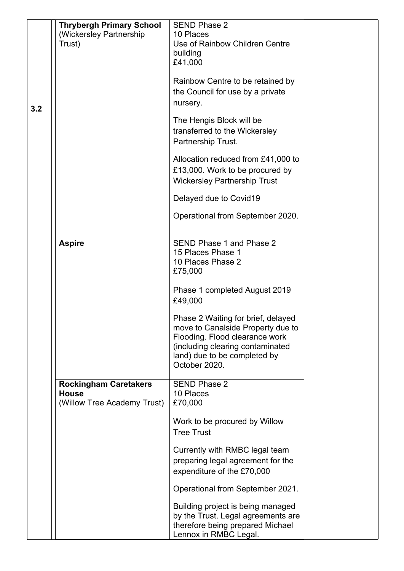|     | <b>Thrybergh Primary School</b><br>(Wickersley Partnership<br>Trust) | <b>SEND Phase 2</b><br>10 Places<br>Use of Rainbow Children Centre      |
|-----|----------------------------------------------------------------------|-------------------------------------------------------------------------|
|     |                                                                      | building<br>£41,000                                                     |
|     |                                                                      | Rainbow Centre to be retained by                                        |
|     |                                                                      | the Council for use by a private                                        |
| 3.2 |                                                                      | nursery.                                                                |
|     |                                                                      | The Hengis Block will be                                                |
|     |                                                                      | transferred to the Wickersley<br>Partnership Trust.                     |
|     |                                                                      | Allocation reduced from £41,000 to                                      |
|     |                                                                      | £13,000. Work to be procured by<br><b>Wickersley Partnership Trust</b>  |
|     |                                                                      | Delayed due to Covid19                                                  |
|     |                                                                      | Operational from September 2020.                                        |
|     | <b>Aspire</b>                                                        | SEND Phase 1 and Phase 2                                                |
|     |                                                                      | 15 Places Phase 1                                                       |
|     |                                                                      | 10 Places Phase 2<br>£75,000                                            |
|     |                                                                      | Phase 1 completed August 2019<br>£49,000                                |
|     |                                                                      | Phase 2 Waiting for brief, delayed                                      |
|     |                                                                      | move to Canalside Property due to<br>Flooding. Flood clearance work     |
|     |                                                                      | (including clearing contaminated                                        |
|     |                                                                      | land) due to be completed by<br>October 2020.                           |
|     | <b>Rockingham Caretakers</b>                                         | <b>SEND Phase 2</b>                                                     |
|     | <b>House</b>                                                         | 10 Places                                                               |
|     | (Willow Tree Academy Trust)                                          | £70,000                                                                 |
|     |                                                                      | Work to be procured by Willow                                           |
|     |                                                                      | <b>Tree Trust</b>                                                       |
|     |                                                                      | Currently with RMBC legal team                                          |
|     |                                                                      | preparing legal agreement for the                                       |
|     |                                                                      | expenditure of the £70,000                                              |
|     |                                                                      | Operational from September 2021.                                        |
|     |                                                                      | Building project is being managed<br>by the Trust. Legal agreements are |
|     |                                                                      | therefore being prepared Michael                                        |
|     |                                                                      | Lennox in RMBC Legal.                                                   |